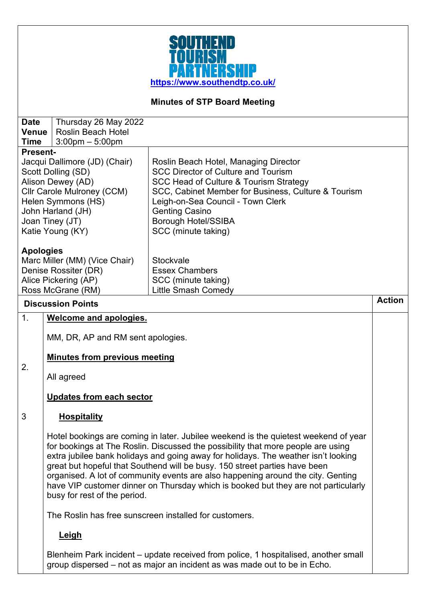

# **Minutes of STP Board Meeting**

| <b>Date</b><br><b>Venue</b><br><b>Time</b> | Thursday 26 May 2022<br><b>Roslin Beach Hotel</b><br>$3:00$ pm $-5:00$ pm                                                                                                                |                                                                                                                                                                                                                                                                                                                                                                                                                                                                                                                       |               |
|--------------------------------------------|------------------------------------------------------------------------------------------------------------------------------------------------------------------------------------------|-----------------------------------------------------------------------------------------------------------------------------------------------------------------------------------------------------------------------------------------------------------------------------------------------------------------------------------------------------------------------------------------------------------------------------------------------------------------------------------------------------------------------|---------------|
| <b>Present-</b>                            |                                                                                                                                                                                          |                                                                                                                                                                                                                                                                                                                                                                                                                                                                                                                       |               |
|                                            | Jacqui Dallimore (JD) (Chair)<br>Scott Dolling (SD)<br>Alison Dewey (AD)<br>Cllr Carole Mulroney (CCM)<br>Helen Symmons (HS)<br>John Harland (JH)<br>Joan Tiney (JT)<br>Katie Young (KY) | Roslin Beach Hotel, Managing Director<br><b>SCC Director of Culture and Tourism</b><br>SCC Head of Culture & Tourism Strategy<br>SCC, Cabinet Member for Business, Culture & Tourism<br>Leigh-on-Sea Council - Town Clerk<br><b>Genting Casino</b><br><b>Borough Hotel/SSIBA</b><br>SCC (minute taking)                                                                                                                                                                                                               |               |
| <b>Apologies</b>                           | Marc Miller (MM) (Vice Chair)<br>Denise Rossiter (DR)<br>Alice Pickering (AP)<br>Ross McGrane (RM)                                                                                       | Stockvale<br><b>Essex Chambers</b><br>SCC (minute taking)<br><b>Little Smash Comedy</b>                                                                                                                                                                                                                                                                                                                                                                                                                               |               |
|                                            | <b>Discussion Points</b>                                                                                                                                                                 |                                                                                                                                                                                                                                                                                                                                                                                                                                                                                                                       | <b>Action</b> |
| 1.                                         | Welcome and apologies.                                                                                                                                                                   |                                                                                                                                                                                                                                                                                                                                                                                                                                                                                                                       |               |
|                                            | MM, DR, AP and RM sent apologies.                                                                                                                                                        |                                                                                                                                                                                                                                                                                                                                                                                                                                                                                                                       |               |
|                                            | <b>Minutes from previous meeting</b>                                                                                                                                                     |                                                                                                                                                                                                                                                                                                                                                                                                                                                                                                                       |               |
| 2.                                         | All agreed                                                                                                                                                                               |                                                                                                                                                                                                                                                                                                                                                                                                                                                                                                                       |               |
|                                            | <b>Updates from each sector</b>                                                                                                                                                          |                                                                                                                                                                                                                                                                                                                                                                                                                                                                                                                       |               |
| 3                                          | <b>Hospitality</b>                                                                                                                                                                       |                                                                                                                                                                                                                                                                                                                                                                                                                                                                                                                       |               |
|                                            | busy for rest of the period.                                                                                                                                                             | Hotel bookings are coming in later. Jubilee weekend is the quietest weekend of year<br>for bookings at The Roslin. Discussed the possibility that more people are using<br>extra jubilee bank holidays and going away for holidays. The weather isn't looking<br>great but hopeful that Southend will be busy. 150 street parties have been<br>organised. A lot of community events are also happening around the city. Genting<br>have VIP customer dinner on Thursday which is booked but they are not particularly |               |
|                                            |                                                                                                                                                                                          | The Roslin has free sunscreen installed for customers.                                                                                                                                                                                                                                                                                                                                                                                                                                                                |               |
|                                            | <b>Leigh</b>                                                                                                                                                                             |                                                                                                                                                                                                                                                                                                                                                                                                                                                                                                                       |               |
|                                            |                                                                                                                                                                                          | Blenheim Park incident - update received from police, 1 hospitalised, another small<br>group dispersed – not as major an incident as was made out to be in Echo.                                                                                                                                                                                                                                                                                                                                                      |               |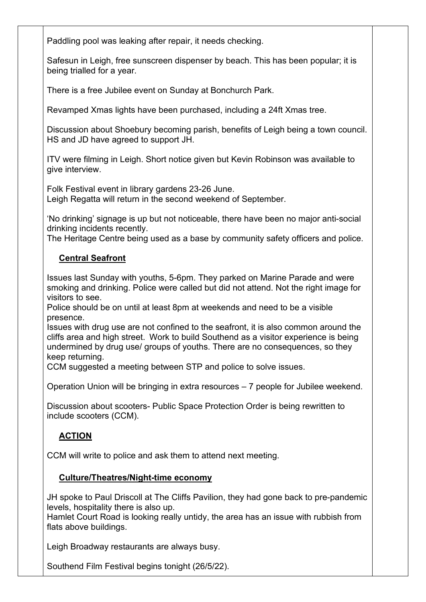Paddling pool was leaking after repair, it needs checking.

Safesun in Leigh, free sunscreen dispenser by beach. This has been popular; it is being trialled for a year.

There is a free Jubilee event on Sunday at Bonchurch Park.

Revamped Xmas lights have been purchased, including a 24ft Xmas tree.

Discussion about Shoebury becoming parish, benefits of Leigh being a town council. HS and JD have agreed to support JH.

ITV were filming in Leigh. Short notice given but Kevin Robinson was available to give interview.

Folk Festival event in library gardens 23-26 June. Leigh Regatta will return in the second weekend of September.

'No drinking' signage is up but not noticeable, there have been no major anti-social drinking incidents recently.

The Heritage Centre being used as a base by community safety officers and police.

#### **Central Seafront**

Issues last Sunday with youths, 5-6pm. They parked on Marine Parade and were smoking and drinking. Police were called but did not attend. Not the right image for visitors to see.

Police should be on until at least 8pm at weekends and need to be a visible presence.

Issues with drug use are not confined to the seafront, it is also common around the cliffs area and high street. Work to build Southend as a visitor experience is being undermined by drug use/ groups of youths. There are no consequences, so they keep returning.

CCM suggested a meeting between STP and police to solve issues.

Operation Union will be bringing in extra resources – 7 people for Jubilee weekend.

Discussion about scooters- Public Space Protection Order is being rewritten to include scooters (CCM).

## **ACTION**

CCM will write to police and ask them to attend next meeting.

### **Culture/Theatres/Night-time economy**

JH spoke to Paul Driscoll at The Cliffs Pavilion, they had gone back to pre-pandemic levels, hospitality there is also up.

Hamlet Court Road is looking really untidy, the area has an issue with rubbish from flats above buildings.

Leigh Broadway restaurants are always busy.

Southend Film Festival begins tonight (26/5/22).